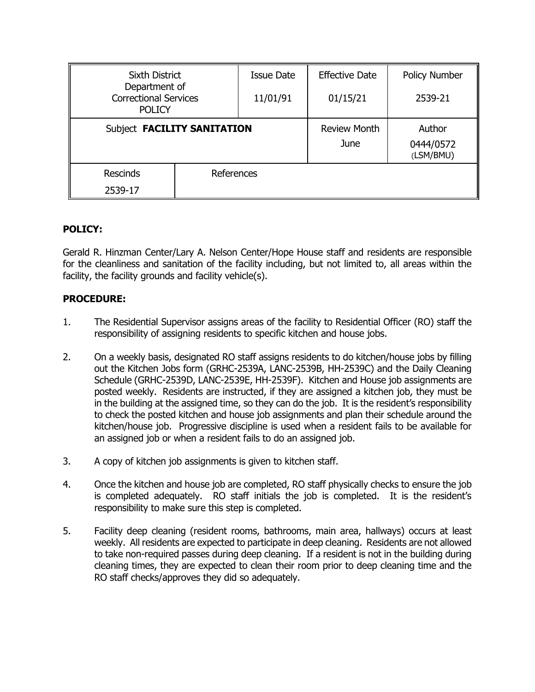| <b>Sixth District</b>                                          |            | <b>Issue Date</b> | <b>Effective Date</b> | Policy Number          |
|----------------------------------------------------------------|------------|-------------------|-----------------------|------------------------|
| Department of<br><b>Correctional Services</b><br><b>POLICY</b> |            | 11/01/91          | 01/15/21              | 2539-21                |
| Subject FACILITY SANITATION                                    |            |                   | <b>Review Month</b>   | Author                 |
|                                                                |            |                   | June                  | 0444/0572<br>(LSM/BMU) |
| <b>Rescinds</b>                                                | References |                   |                       |                        |
| 2539-17                                                        |            |                   |                       |                        |

## **POLICY:**

Gerald R. Hinzman Center/Lary A. Nelson Center/Hope House staff and residents are responsible for the cleanliness and sanitation of the facility including, but not limited to, all areas within the facility, the facility grounds and facility vehicle(s).

## **PROCEDURE:**

- 1. The Residential Supervisor assigns areas of the facility to Residential Officer (RO) staff the responsibility of assigning residents to specific kitchen and house jobs.
- 2. On a weekly basis, designated RO staff assigns residents to do kitchen/house jobs by filling out the Kitchen Jobs form (GRHC-2539A, LANC-2539B, HH-2539C) and the Daily Cleaning Schedule (GRHC-2539D, LANC-2539E, HH-2539F). Kitchen and House job assignments are posted weekly. Residents are instructed, if they are assigned a kitchen job, they must be in the building at the assigned time, so they can do the job. It is the resident's responsibility to check the posted kitchen and house job assignments and plan their schedule around the kitchen/house job. Progressive discipline is used when a resident fails to be available for an assigned job or when a resident fails to do an assigned job.
- 3. A copy of kitchen job assignments is given to kitchen staff.
- 4. Once the kitchen and house job are completed, RO staff physically checks to ensure the job is completed adequately. RO staff initials the job is completed. It is the resident's responsibility to make sure this step is completed.
- 5. Facility deep cleaning (resident rooms, bathrooms, main area, hallways) occurs at least weekly. All residents are expected to participate in deep cleaning. Residents are not allowed to take non-required passes during deep cleaning. If a resident is not in the building during cleaning times, they are expected to clean their room prior to deep cleaning time and the RO staff checks/approves they did so adequately.